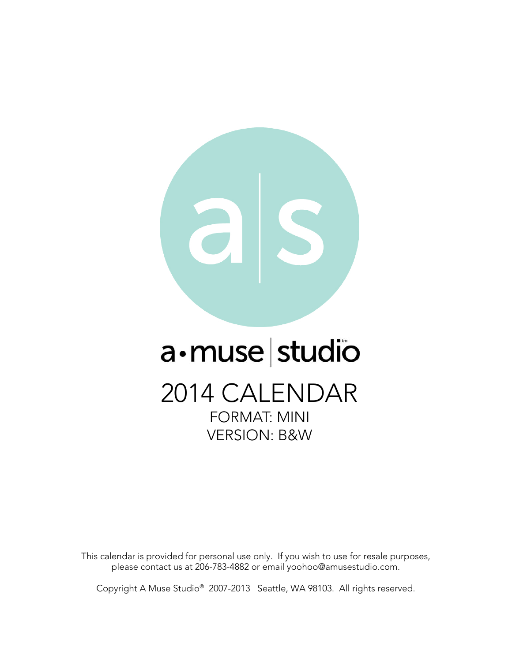

## a·muse studio

2014 CALENDAR FORMAT: MINI VERSION: B&W

This calendar is provided for personal use only. If you wish to use for resale purposes, please contact us at 206-783-4882 or email yoohoo@amusestudio.com.

Copyright A Muse Studio® 2007-2013 Seattle, WA 98103. All rights reserved.